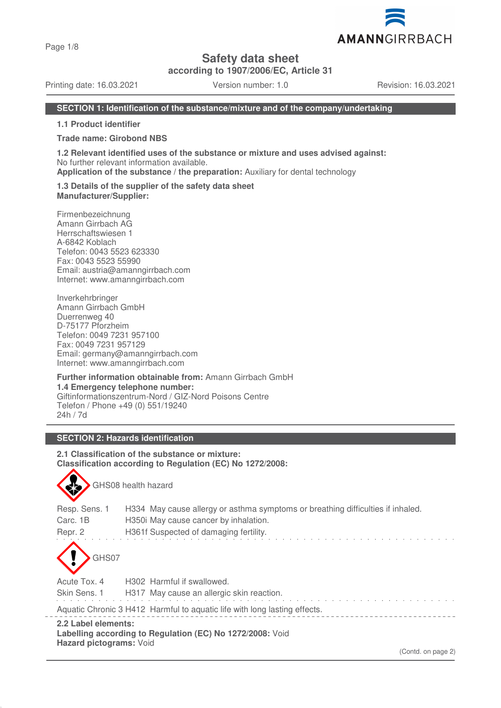Page 1/8

## **Safety data sheet**

**according to 1907/2006/EC, Article 31**

Printing date: 16.03.2021 Version number: 1.0 Revision: 16.03.2021

#### **SECTION 1: Identification of the substance/mixture and of the company/undertaking**

**1.1 Product identifier**

#### **Trade name: Girobond NBS**

**1.2 Relevant identified uses of the substance or mixture and uses advised against:** No further relevant information available.

**Application of the substance / the preparation:** Auxiliary for dental technology

#### **1.3 Details of the supplier of the safety data sheet Manufacturer/Supplier:**

Firmenbezeichnung Amann Girrbach AG Herrschaftswiesen 1 A-6842 Koblach Telefon: 0043 5523 623330 Fax: 0043 5523 55990 Email: austria@amanngirrbach.com Internet: www.amanngirrbach.com

Inverkehrbringer Amann Girrbach GmbH Duerrenweg 40 D-75177 Pforzheim Telefon: 0049 7231 957100 Fax: 0049 7231 957129 Email: germany@amanngirrbach.com Internet: www.amanngirrbach.com

**Further information obtainable from:** Amann Girrbach GmbH **1.4 Emergency telephone number:** Giftinformationszentrum-Nord / GIZ-Nord Poisons Centre Telefon / Phone +49 (0) 551/19240 24h / 7d

## **SECTION 2: Hazards identification**

GHS08 health hazard

**2.1 Classification of the substance or mixture: Classification according to Regulation (EC) No 1272/2008:**

| 2.2 Label elements:<br>Hazard pictograms: Void | Aquatic Chronic 3 H412 Harmful to aquatic life with long lasting effects.<br>Labelling according to Regulation (EC) No 1272/2008: Void                            |
|------------------------------------------------|-------------------------------------------------------------------------------------------------------------------------------------------------------------------|
| Skin Sens. 1                                   | H317 May cause an allergic skin reaction.                                                                                                                         |
| Acute Tox, 4                                   | H <sub>302</sub> Harmful if swallowed.                                                                                                                            |
| GHS07                                          |                                                                                                                                                                   |
| Resp. Sens. 1<br>Carc. 1B<br>Repr. 2           | H334 May cause allergy or asthma symptoms or breathing difficulties if inhaled.<br>H350 May cause cancer by inhalation.<br>H361f Suspected of damaging fertility. |
|                                                |                                                                                                                                                                   |



(Contd. on page 2)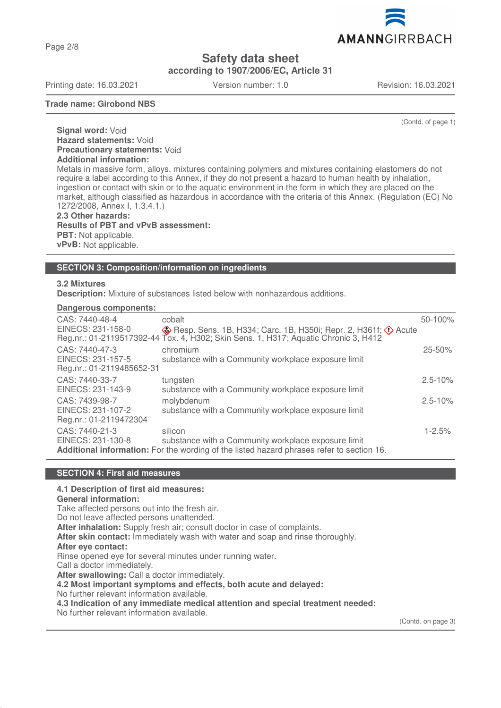Page 2/8

**Safety data sheet**

**according to 1907/2006/EC, Article 31**

Printing date: 16.03.2021 Version number: 1.0 Revision: 16.03.2021

AMANNGIRRBACH

**Trade name: Girobond NBS**

(Contd. of page 1)

**Signal word:** Void **Hazard statements:** Void **Precautionary statements:** Void **Additional information:** Metals in massive form, alloys, mixtures containing polymers and mixtures containing elastomers do not

require a label according to this Annex, if they do not present a hazard to human health by inhalation, ingestion or contact with skin or to the aquatic environment in the form in which they are placed on the market, although classified as hazardous in accordance with the criteria of this Annex. (Regulation (EC) No 1272/2008, Annex I, 1.3.4.1.)

**2.3 Other hazards: Results of PBT and vPvB assessment: PBT:** Not applicable. **vPvB:** Not applicable.

#### **SECTION 3: Composition/information on ingredients**

#### **3.2 Mixtures**

**Description:** Mixture of substances listed below with nonhazardous additions.

#### **Dangerous components:**

| CAS: 7440-48-4<br>EINECS: 231-158-0                              | cobalt<br>$\diamondsuit$ Resp. Sens. 1B, H334; Carc. 1B, H350i; Repr. 2, H361f; $\diamondsuit$ Acute<br>Reg.nr.: 01-2119517392-44 Tox. 4, H302; Skin Sens. 1, H317; Aquatic Chronic 3, H412 | 50-100%     |
|------------------------------------------------------------------|---------------------------------------------------------------------------------------------------------------------------------------------------------------------------------------------|-------------|
| CAS: 7440-47-3<br>EINECS: 231-157-5<br>Reg.nr.: 01-2119485652-31 | chromium<br>substance with a Community workplace exposure limit                                                                                                                             | 25-50%      |
| CAS: 7440-33-7<br>EINECS: 231-143-9                              | tungsten<br>substance with a Community workplace exposure limit                                                                                                                             | $2.5 - 10%$ |
| CAS: 7439-98-7<br>EINECS: 231-107-2<br>Reg.nr.: 01-2119472304    | molybdenum<br>substance with a Community workplace exposure limit                                                                                                                           | $2.5 - 10%$ |
| CAS: 7440-21-3<br>EINECS: 231-130-8                              | silicon<br>substance with a Community workplace exposure limit<br>Additional information: For the wording of the listed hazard phrases refer to section 16.                                 | $1 - 2.5%$  |

#### **SECTION 4: First aid measures**

#### **4.1 Description of first aid measures:**

**General information:**

Take affected persons out into the fresh air.

Do not leave affected persons unattended.

**After inhalation:** Supply fresh air; consult doctor in case of complaints.

**After skin contact:** Immediately wash with water and soap and rinse thoroughly.

**After eye contact:**

Rinse opened eye for several minutes under running water.

Call a doctor immediately.

**After swallowing:** Call a doctor immediately.

**4.2 Most important symptoms and effects, both acute and delayed:**

No further relevant information available.

**4.3 Indication of any immediate medical attention and special treatment needed:**

No further relevant information available.

(Contd. on page 3)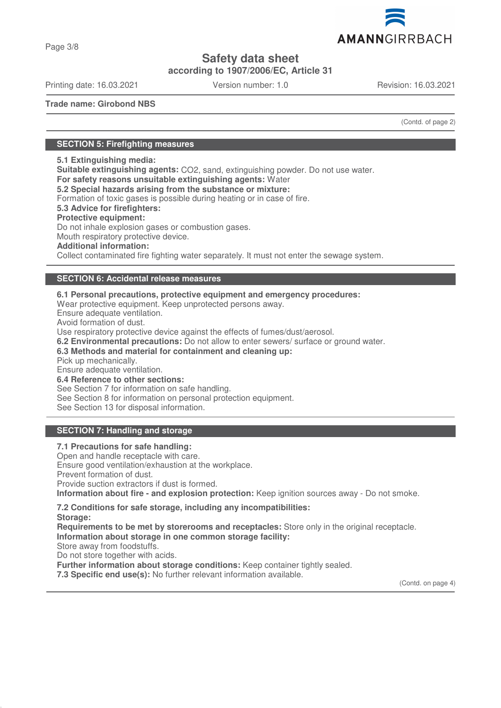

Page 3/8

# **Safety data sheet**

**according to 1907/2006/EC, Article 31**

Printing date: 16.03.2021 Version number: 1.0 Revision: 16.03.2021

**Trade name: Girobond NBS**

(Contd. of page 2)

## **SECTION 5: Firefighting measures**

#### **5.1 Extinguishing media:**

**Suitable extinguishing agents:** CO2, sand, extinguishing powder. Do not use water.

**For safety reasons unsuitable extinguishing agents:** Water

**5.2 Special hazards arising from the substance or mixture:**

Formation of toxic gases is possible during heating or in case of fire.

**5.3 Advice for firefighters:**

#### **Protective equipment:**

Do not inhale explosion gases or combustion gases.

Mouth respiratory protective device.

#### **Additional information:**

Collect contaminated fire fighting water separately. It must not enter the sewage system.

## **SECTION 6: Accidental release measures**

**6.1 Personal precautions, protective equipment and emergency procedures:** Wear protective equipment. Keep unprotected persons away. Ensure adequate ventilation.

Avoid formation of dust.

Use respiratory protective device against the effects of fumes/dust/aerosol.

**6.2 Environmental precautions:** Do not allow to enter sewers/ surface or ground water.

**6.3 Methods and material for containment and cleaning up:**

Pick up mechanically.

Ensure adequate ventilation.

**6.4 Reference to other sections:**

See Section 7 for information on safe handling.

See Section 8 for information on personal protection equipment.

See Section 13 for disposal information.

## **SECTION 7: Handling and storage**

#### **7.1 Precautions for safe handling:** Open and handle receptacle with care. Ensure good ventilation/exhaustion at the workplace. Prevent formation of dust. Provide suction extractors if dust is formed. **Information about fire - and explosion protection:** Keep ignition sources away - Do not smoke.

#### **7.2 Conditions for safe storage, including any incompatibilities: Storage:**

**Requirements to be met by storerooms and receptacles:** Store only in the original receptacle. **Information about storage in one common storage facility:**

Store away from foodstuffs.

Do not store together with acids.

**Further information about storage conditions:** Keep container tightly sealed.

**7.3 Specific end use(s):** No further relevant information available.

(Contd. on page 4)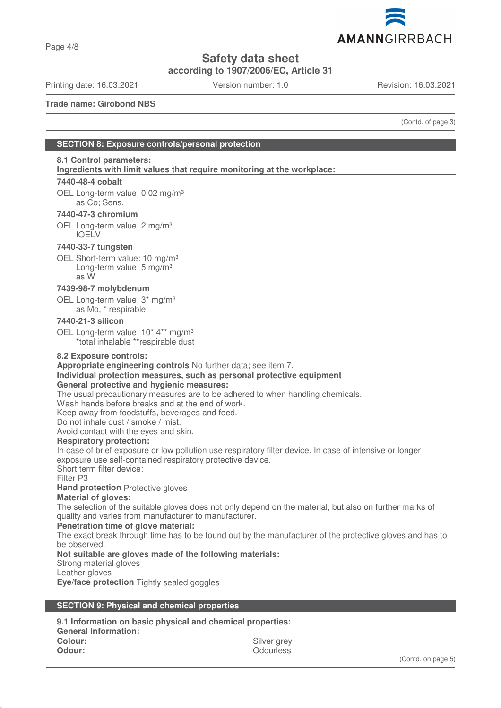

Page 4/8

**Safety data sheet**

**according to 1907/2006/EC, Article 31**

Printing date: 16.03.2021 Version number: 1.0 Revision: 16.03.2021

**Trade name: Girobond NBS**

(Contd. of page 3)

## **SECTION 8: Exposure controls/personal protection**

## **8.1 Control parameters:**

**Ingredients with limit values that require monitoring at the workplace:** 

#### **7440-48-4 cobalt**

OEL Long-term value: 0.02 mg/m<sup>3</sup> as Co; Sens.

## **7440-47-3 chromium**

OEL Long-term value: 2 mg/m<sup>3</sup> IOELV

#### **7440-33-7 tungsten**

OEL Short-term value: 10 mg/m<sup>3</sup> Long-term value: 5 mg/m<sup>3</sup> as W

## **7439-98-7 molybdenum**

OEL Long-term value: 3\* mg/m³ as Mo, \* respirable

#### **7440-21-3 silicon**

OEL Long-term value: 10<sup>\*</sup> 4<sup>\*\*</sup> mg/m<sup>3</sup> \*total inhalable \*\*respirable dust

#### **8.2 Exposure controls:**

**Appropriate engineering controls** No further data; see item 7.

## **Individual protection measures, such as personal protective equipment**

## **General protective and hygienic measures:**

The usual precautionary measures are to be adhered to when handling chemicals.

Wash hands before breaks and at the end of work.

Keep away from foodstuffs, beverages and feed.

Do not inhale dust / smoke / mist.

Avoid contact with the eyes and skin.

#### **Respiratory protection:**

In case of brief exposure or low pollution use respiratory filter device. In case of intensive or longer exposure use self-contained respiratory protective device.

Short term filter device:

Filter P3

**Hand protection** Protective gloves

#### **Material of gloves:**

The selection of the suitable gloves does not only depend on the material, but also on further marks of quality and varies from manufacturer to manufacturer.

#### **Penetration time of glove material:**

The exact break through time has to be found out by the manufacturer of the protective gloves and has to be observed.

#### **Not suitable are gloves made of the following materials:**

Strong material gloves

Leather gloves

**Eye/face protection** Tightly sealed goggles

#### **SECTION 9: Physical and chemical properties**

**9.1 Information on basic physical and chemical properties: General Information: Colour:** Silver grey **Odour:** Odourless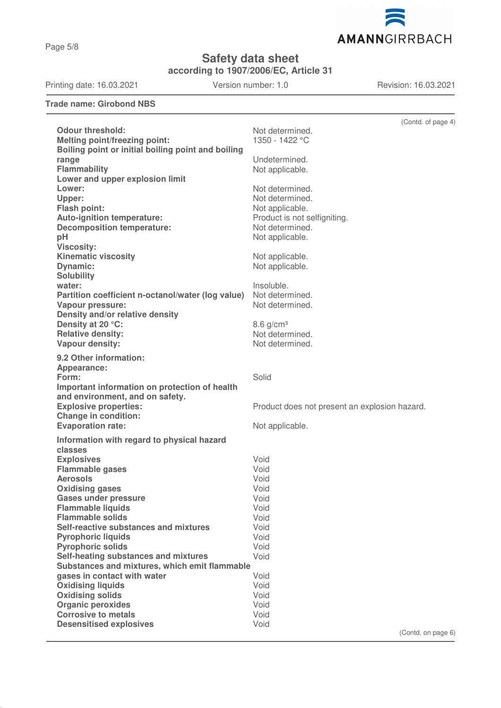Page 5/8

**Safety data sheet**

**according to 1907/2006/EC, Article 31**

Printing date: 16.03.2021 Version number: 1.0 Revision: 16.03.2021

## **Trade name: Girobond NBS**

|                                                    | (Contd. of page 4)                            |
|----------------------------------------------------|-----------------------------------------------|
| <b>Odour threshold:</b>                            | Not determined.                               |
| <b>Melting point/freezing point:</b>               | 1350 - 1422 °C                                |
| Boiling point or initial boiling point and boiling |                                               |
| range                                              | Undetermined.                                 |
| <b>Flammability</b>                                | Not applicable.                               |
| Lower and upper explosion limit                    |                                               |
| Lower:                                             | Not determined.                               |
|                                                    |                                               |
| Upper:                                             | Not determined.                               |
| <b>Flash point:</b>                                | Not applicable.                               |
| Auto-ignition temperature:                         | Product is not selfigniting.                  |
| <b>Decomposition temperature:</b>                  | Not determined.                               |
| pH                                                 | Not applicable.                               |
| <b>Viscosity:</b>                                  |                                               |
| <b>Kinematic viscosity</b>                         | Not applicable.                               |
| <b>Dynamic:</b>                                    | Not applicable.                               |
| <b>Solubility</b>                                  |                                               |
| water:                                             | Insoluble.                                    |
| Partition coefficient n-octanol/water (log value)  | Not determined.                               |
| Vapour pressure:                                   | Not determined.                               |
| Density and/or relative density                    |                                               |
| Density at 20 °C:                                  | $8.6$ g/cm <sup>3</sup>                       |
| <b>Relative density:</b>                           | Not determined.                               |
| Vapour density:                                    | Not determined.                               |
|                                                    |                                               |
| 9.2 Other information:                             |                                               |
| Appearance:                                        |                                               |
| Form:                                              | Solid                                         |
| Important information on protection of health      |                                               |
| and environment, and on safety.                    |                                               |
| <b>Explosive properties:</b>                       | Product does not present an explosion hazard. |
| <b>Change in condition:</b>                        |                                               |
| <b>Evaporation rate:</b>                           | Not applicable.                               |
| Information with regard to physical hazard         |                                               |
| classes                                            |                                               |
| <b>Explosives</b>                                  | Void                                          |
| <b>Flammable gases</b>                             | Void                                          |
| <b>Aerosols</b>                                    | Void                                          |
| <b>Oxidising gases</b>                             | Void                                          |
| Gases under pressure                               | Void                                          |
| <b>Flammable liquids</b>                           | Void                                          |
| <b>Flammable solids</b>                            | Void                                          |
| Self-reactive substances and mixtures              | Void                                          |
| <b>Pyrophoric liquids</b>                          | Void                                          |
| <b>Pyrophoric solids</b>                           | Void                                          |
| Self-heating substances and mixtures               | Void                                          |
| Substances and mixtures, which emit flammable      |                                               |
| gases in contact with water                        | Void                                          |
| <b>Oxidising liquids</b>                           | Void                                          |
| <b>Oxidising solids</b>                            | Void                                          |
| <b>Organic peroxides</b>                           | Void                                          |
| <b>Corrosive to metals</b>                         | Void                                          |
| <b>Desensitised explosives</b>                     | Void                                          |
|                                                    | $(Control$ on page $6)$                       |



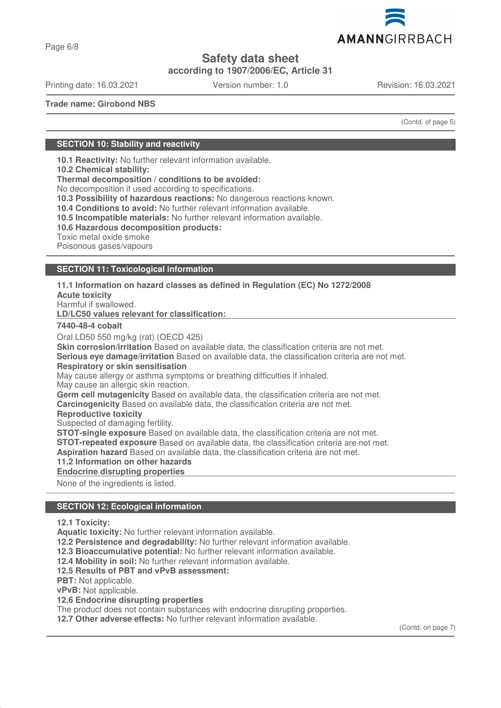

Page 6/8

## **Safety data sheet**

**according to 1907/2006/EC, Article 31**

Printing date: 16.03.2021 Version number: 1.0 Revision: 16.03.2021

**Trade name: Girobond NBS**

(Contd. of page 5)

## **SECTION 10: Stability and reactivity**

**10.1 Reactivity:** No further relevant information available.

**10.2 Chemical stability:**

**Thermal decomposition / conditions to be avoided:**

No decomposition if used according to specifications.

**10.3 Possibility of hazardous reactions:** No dangerous reactions known.

**10.4 Conditions to avoid:** No further relevant information available.

**10.5 Incompatible materials:** No further relevant information available.

**10.6 Hazardous decomposition products:**

Toxic metal oxide smoke

Poisonous gases/vapours

#### **SECTION 11: Toxicological information**

**11.1 Information on hazard classes as defined in Regulation (EC) No 1272/2008**

**Acute toxicity**

Harmful if swallowed.

**LD/LC50 values relevant for classification:** 

#### **7440-48-4 cobalt**

Oral LD50 550 mg/kg (rat) (OECD 425)

**Skin corrosion/irritation** Based on available data, the classification criteria are not met.

**Serious eye damage/irritation** Based on available data, the classification criteria are not met. **Respiratory or skin sensitisation**

May cause allergy or asthma symptoms or breathing difficulties if inhaled.

May cause an allergic skin reaction.

**Germ cell mutagenicity** Based on available data, the classification criteria are not met.

**Carcinogenicity** Based on available data, the classification criteria are not met.

**Reproductive toxicity**

Suspected of damaging fertility.

**STOT-single exposure** Based on available data, the classification criteria are not met.

**STOT-repeated exposure** Based on available data, the classification criteria are not met.

**Aspiration hazard** Based on available data, the classification criteria are not met.

#### **11.2 Information on other hazards**

**Endocrine disrupting properties** 

None of the ingredients is listed.

## **SECTION 12: Ecological information**

**12.1 Toxicity:**

**Aquatic toxicity:** No further relevant information available.

**12.2 Persistence and degradability:** No further relevant information available.

**12.3 Bioaccumulative potential:** No further relevant information available.

**12.4 Mobility in soil:** No further relevant information available.

**12.5 Results of PBT and vPvB assessment:**

**PBT:** Not applicable.

**vPvB:** Not applicable.

**12.6 Endocrine disrupting properties**

The product does not contain substances with endocrine disrupting properties.

**12.7 Other adverse effects:** No further relevant information available.

(Contd. on page 7)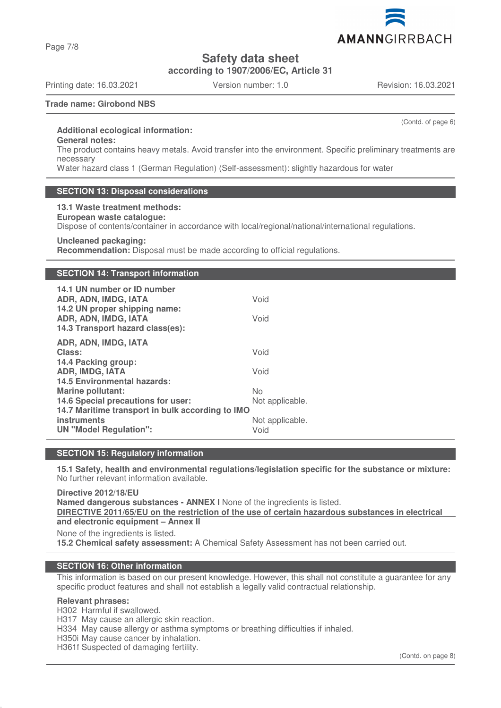Page 7/8

**Safety data sheet**

**according to 1907/2006/EC, Article 31**

Printing date: 16.03.2021 Version number: 1.0 Revision: 16.03.2021

AMANNGIRRBACH

(Contd. of page 6)

#### **Trade name: Girobond NBS**

#### **Additional ecological information:**

**General notes:**

The product contains heavy metals. Avoid transfer into the environment. Specific preliminary treatments are necessary

Water hazard class 1 (German Regulation) (Self-assessment): slightly hazardous for water

#### **SECTION 13: Disposal considerations**

**13.1 Waste treatment methods: European waste catalogue:** Dispose of contents/container in accordance with local/regional/national/international regulations. **Uncleaned packaging:**

**Recommendation:** Disposal must be made according to official regulations.

#### **SECTION 14: Transport information**

| 14.1 UN number or ID number<br>ADR, ADN, IMDG, IATA<br>14.2 UN proper shipping name:<br>ADR, ADN, IMDG, IATA<br>14.3 Transport hazard class(es):                   | Void<br>Void                                     |
|--------------------------------------------------------------------------------------------------------------------------------------------------------------------|--------------------------------------------------|
| ADR, ADN, IMDG, IATA<br>Class:<br>14.4 Packing group:<br><b>ADR, IMDG, IATA</b><br><b>14.5 Environmental hazards:</b>                                              | Void<br>Void                                     |
| <b>Marine pollutant:</b><br>14.6 Special precautions for user:<br>14.7 Maritime transport in bulk according to IMO<br>instruments<br><b>UN "Model Regulation":</b> | No<br>Not applicable.<br>Not applicable.<br>Void |

## **SECTION 15: Regulatory information**

**15.1 Safety, health and environmental regulations/legislation specific for the substance or mixture:** No further relevant information available.

**Directive 2012/18/EU Named dangerous substances - ANNEX I** None of the ingredients is listed. **DIRECTIVE 2011/65/EU on the restriction of the use of certain hazardous substances in electrical and electronic equipment – Annex II** None of the ingredients is listed.

**15.2 Chemical safety assessment:** A Chemical Safety Assessment has not been carried out.

## **SECTION 16: Other information**

This information is based on our present knowledge. However, this shall not constitute a guarantee for any specific product features and shall not establish a legally valid contractual relationship.

#### **Relevant phrases:**

H302 Harmful if swallowed.

H317 May cause an allergic skin reaction.

H334 May cause allergy or asthma symptoms or breathing difficulties if inhaled.

H350i May cause cancer by inhalation.

H361f Suspected of damaging fertility.